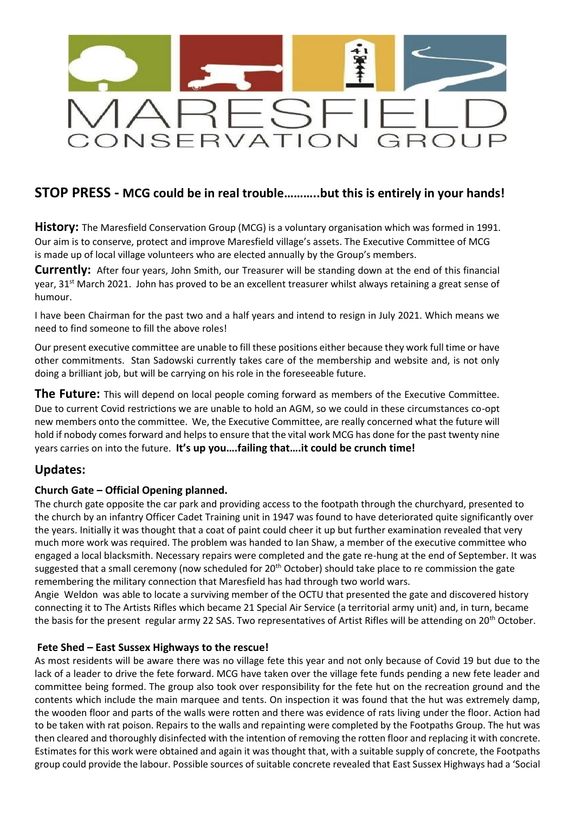

## **STOP PRESS - MCG could be in real trouble………..but this is entirely in your hands!**

**History:** The Maresfield Conservation Group (MCG) is a voluntary organisation which was formed in 1991. Our aim is to conserve, protect and improve Maresfield village's assets. The Executive Committee of MCG is made up of local village volunteers who are elected annually by the Group's members.

**Currently:** After four years, John Smith, our Treasurer will be standing down at the end of this financial year,  $31^{st}$  March 2021. John has proved to be an excellent treasurer whilst always retaining a great sense of humour.

I have been Chairman for the past two and a half years and intend to resign in July 2021. Which means we need to find someone to fill the above roles!

Our present executive committee are unable to fill these positions either because they work full time or have other commitments. Stan Sadowski currently takes care of the membership and website and, is not only doing a brilliant job, but will be carrying on his role in the foreseeable future.

**The Future:** This will depend on local people coming forward as members of the Executive Committee. Due to current Covid restrictions we are unable to hold an AGM, so we could in these circumstances co-opt new members onto the committee. We, the Executive Committee, are really concerned what the future will hold if nobody comes forward and helps to ensure that the vital work MCG has done for the past twenty nine years carries on into the future. **It's up you….failing that….it could be crunch time!**

## **Updates:**

## **Church Gate – Official Opening planned.**

The church gate opposite the car park and providing access to the footpath through the churchyard, presented to the church by an infantry Officer Cadet Training unit in 1947 was found to have deteriorated quite significantly over the years. Initially it was thought that a coat of paint could cheer it up but further examination revealed that very much more work was required. The problem was handed to Ian Shaw, a member of the executive committee who engaged a local blacksmith. Necessary repairs were completed and the gate re-hung at the end of September. It was suggested that a small ceremony (now scheduled for 20<sup>th</sup> October) should take place to re commission the gate remembering the military connection that Maresfield has had through two world wars.

Angie Weldon was able to locate a surviving member of the OCTU that presented the gate and discovered history connecting it to The Artists Rifles which became 21 Special Air Service (a territorial army unit) and, in turn, became the basis for the present regular army 22 SAS. Two representatives of Artist Rifles will be attending on 20<sup>th</sup> October.

## **Fete Shed – East Sussex Highways to the rescue!**

As most residents will be aware there was no village fete this year and not only because of Covid 19 but due to the lack of a leader to drive the fete forward. MCG have taken over the village fete funds pending a new fete leader and committee being formed. The group also took over responsibility for the fete hut on the recreation ground and the contents which include the main marquee and tents. On inspection it was found that the hut was extremely damp, the wooden floor and parts of the walls were rotten and there was evidence of rats living under the floor. Action had to be taken with rat poison. Repairs to the walls and repainting were completed by the Footpaths Group. The hut was then cleared and thoroughly disinfected with the intention of removing the rotten floor and replacing it with concrete. Estimates for this work were obtained and again it was thought that, with a suitable supply of concrete, the Footpaths group could provide the labour. Possible sources of suitable concrete revealed that East Sussex Highways had a 'Social